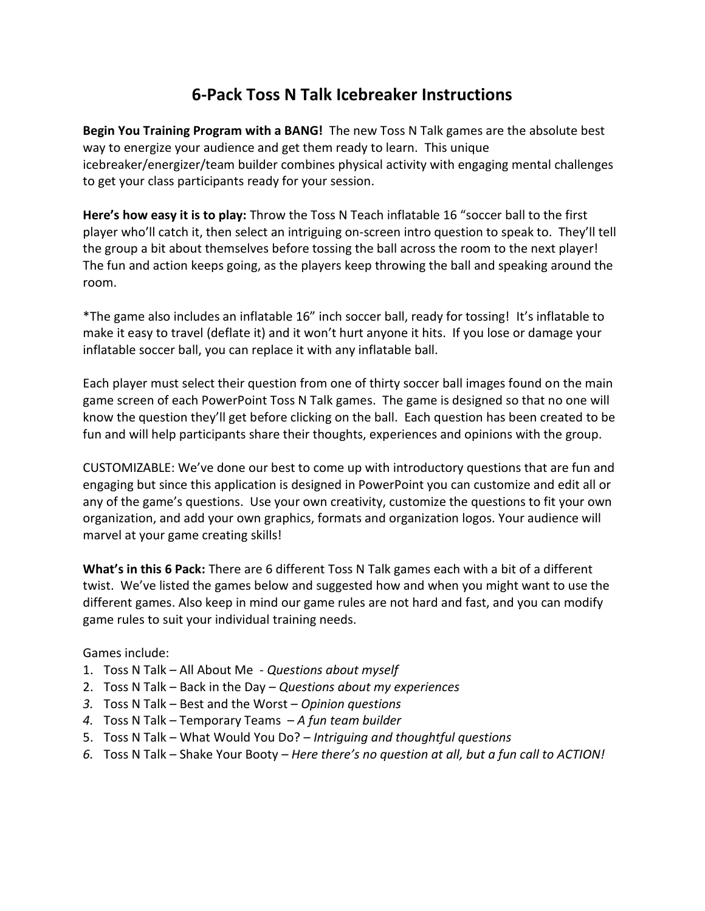## **6-Pack Toss N Talk Icebreaker Instructions**

**Begin You Training Program with a BANG!** The new Toss N Talk games are the absolute best way to energize your audience and get them ready to learn. This unique icebreaker/energizer/team builder combines physical activity with engaging mental challenges to get your class participants ready for your session.

**Here's how easy it is to play:** Throw the Toss N Teach inflatable 16 "soccer ball to the first player who'll catch it, then select an intriguing on-screen intro question to speak to. They'll tell the group a bit about themselves before tossing the ball across the room to the next player! The fun and action keeps going, as the players keep throwing the ball and speaking around the room.

\*The game also includes an inflatable 16" inch soccer ball, ready for tossing! It's inflatable to make it easy to travel (deflate it) and it won't hurt anyone it hits. If you lose or damage your inflatable soccer ball, you can replace it with any inflatable ball.

Each player must select their question from one of thirty soccer ball images found on the main game screen of each PowerPoint Toss N Talk games. The game is designed so that no one will know the question they'll get before clicking on the ball. Each question has been created to be fun and will help participants share their thoughts, experiences and opinions with the group.

CUSTOMIZABLE: We've done our best to come up with introductory questions that are fun and engaging but since this application is designed in PowerPoint you can customize and edit all or any of the game's questions. Use your own creativity, customize the questions to fit your own organization, and add your own graphics, formats and organization logos. Your audience will marvel at your game creating skills!

**What's in this 6 Pack:** There are 6 different Toss N Talk games each with a bit of a different twist. We've listed the games below and suggested how and when you might want to use the different games. Also keep in mind our game rules are not hard and fast, and you can modify game rules to suit your individual training needs.

Games include:

- 1. Toss N Talk All About Me *Questions about myself*
- 2. Toss N Talk Back in the Day *Questions about my experiences*
- *3.* Toss N Talk Best and the Worst *Opinion questions*
- *4.* Toss N Talk Temporary Teams *A fun team builder*
- 5. Toss N Talk What Would You Do? *Intriguing and thoughtful questions*
- *6.* Toss N Talk Shake Your Booty *Here there's no question at all, but a fun call to ACTION!*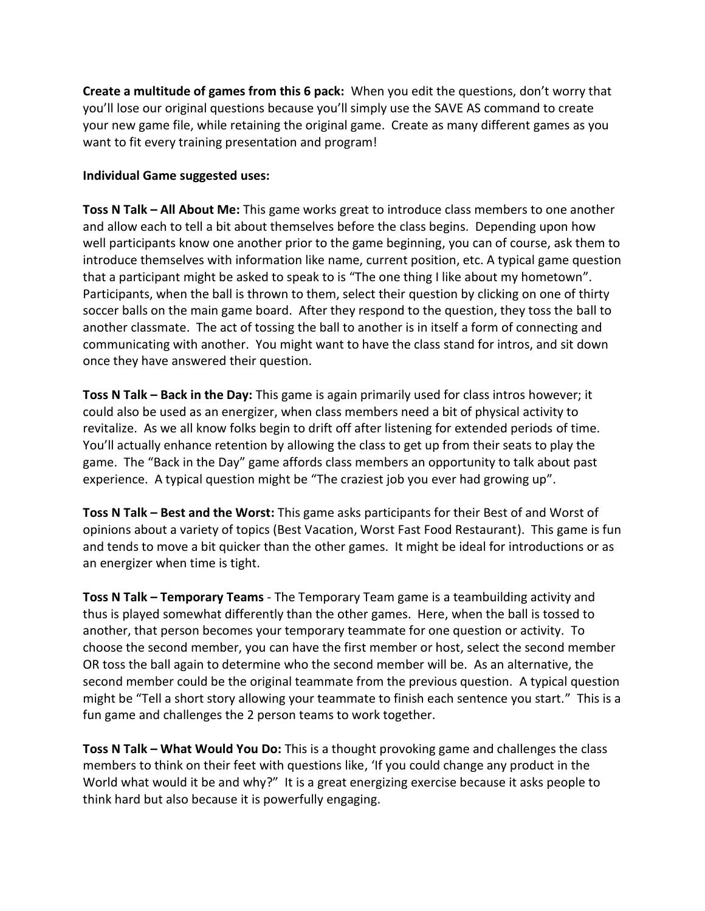**Create a multitude of games from this 6 pack:** When you edit the questions, don't worry that you'll lose our original questions because you'll simply use the SAVE AS command to create your new game file, while retaining the original game. Create as many different games as you want to fit every training presentation and program!

## **Individual Game suggested uses:**

**Toss N Talk – All About Me:** This game works great to introduce class members to one another and allow each to tell a bit about themselves before the class begins. Depending upon how well participants know one another prior to the game beginning, you can of course, ask them to introduce themselves with information like name, current position, etc. A typical game question that a participant might be asked to speak to is "The one thing I like about my hometown". Participants, when the ball is thrown to them, select their question by clicking on one of thirty soccer balls on the main game board. After they respond to the question, they toss the ball to another classmate. The act of tossing the ball to another is in itself a form of connecting and communicating with another. You might want to have the class stand for intros, and sit down once they have answered their question.

**Toss N Talk – Back in the Day:** This game is again primarily used for class intros however; it could also be used as an energizer, when class members need a bit of physical activity to revitalize. As we all know folks begin to drift off after listening for extended periods of time. You'll actually enhance retention by allowing the class to get up from their seats to play the game. The "Back in the Day" game affords class members an opportunity to talk about past experience. A typical question might be "The craziest job you ever had growing up".

**Toss N Talk – Best and the Worst:** This game asks participants for their Best of and Worst of opinions about a variety of topics (Best Vacation, Worst Fast Food Restaurant). This game is fun and tends to move a bit quicker than the other games. It might be ideal for introductions or as an energizer when time is tight.

**Toss N Talk – Temporary Teams** - The Temporary Team game is a teambuilding activity and thus is played somewhat differently than the other games. Here, when the ball is tossed to another, that person becomes your temporary teammate for one question or activity. To choose the second member, you can have the first member or host, select the second member OR toss the ball again to determine who the second member will be. As an alternative, the second member could be the original teammate from the previous question. A typical question might be "Tell a short story allowing your teammate to finish each sentence you start." This is a fun game and challenges the 2 person teams to work together.

**Toss N Talk – What Would You Do:** This is a thought provoking game and challenges the class members to think on their feet with questions like, 'If you could change any product in the World what would it be and why?" It is a great energizing exercise because it asks people to think hard but also because it is powerfully engaging.